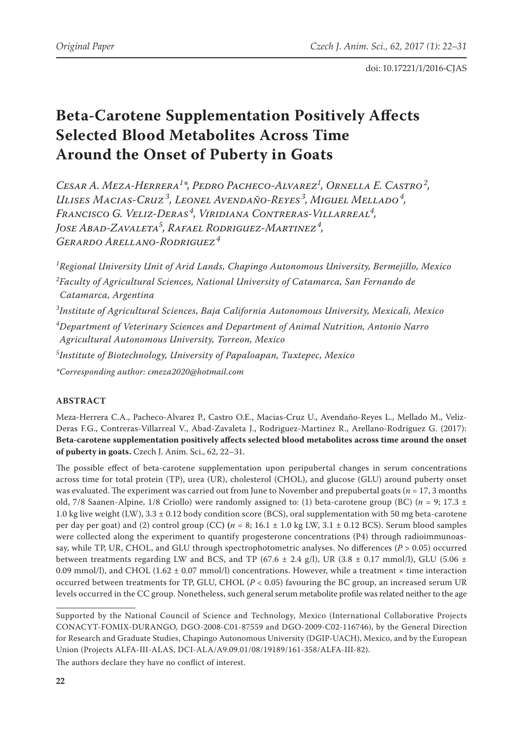# **Beta-Carotene Supplementation Positively Affects Selected Blood Metabolites Across Time Around the Onset of Puberty in Goats**

*Cesar A. Meza-Herrera1 \*, Pedro Pacheco-Alvarez1 , Ornella E. Castro<sup>2</sup> , Ulises Macias-Cruz <sup>3</sup> , Leonel Avendaño-Reyes <sup>3</sup> , Miguel Mellado<sup>4</sup> , Francisco G. Veliz-Deras <sup>4</sup> , Viridiana Contreras-Villarreal4 , Jose Abad-Zavaleta5 , Rafael Rodriguez-Martinez<sup>4</sup> , Gerardo Arellano-Rodriguez<sup>4</sup>*

 *Regional University Unit of Arid Lands, Chapingo Autonomous University, Bermejillo, Mexico Faculty of Agricultural Sciences, National University of Catamarca, San Fernando de Catamarca, Argentina Institute of Agricultural Sciences, Baja California Autonomous University, Mexicali, Mexico Department of Veterinary Sciences and Department of Animal Nutrition, Antonio Narro Agricultural Autonomous University, Torreon, Mexico*

*5 Institute of Biotechnology, University of Papaloapan, Tuxtepec, Mexico*

*\*Corresponding author: cmeza2020@hotmail.com*

# **ABSTRACT**

Meza-Herrera C.A., Pacheco-Alvarez P., Castro O.E., Macias-Cruz U., Avendaño-Reyes L., Mellado M., Veliz-Deras F.G., Contreras-Villarreal V., Abad-Zavaleta J., Rodriguez-Martinez R., Arellano-Rodriguez G. (2017): **Beta-carotene supplementation positively affects selected blood metabolites across time around the onset of puberty in goats.** Czech J. Anim. Sci., 62, 22–31*.*

The possible effect of beta-carotene supplementation upon peripubertal changes in serum concentrations across time for total protein (TP), urea (UR), cholesterol (CHOL), and glucose (GLU) around puberty onset was evaluated. The experiment was carried out from June to November and prepubertal goats (*n* = 17, 3 months old, 7/8 Saanen-Alpine, 1/8 Criollo) were randomly assigned to: (1) beta-carotene group (BC) (*n* = 9; 17.3 ± 1.0 kg live weight (LW), 3.3 ± 0.12 body condition score (BCS), oral supplementation with 50 mg beta-carotene per day per goat) and (2) control group (CC**) (***n* = 8; 16.1 ± 1.0 kg LW, 3.1 ± 0.12 BCS). Serum blood samples were collected along the experiment to quantify progesterone concentrations (P4) through radioimmunoassay, while TP, UR, CHOL, and GLU through spectrophotometric analyses. No differences (*P* > 0.05) occurred between treatments regarding LW and BCS, and TP (67.6  $\pm$  2.4 g/l), UR (3.8  $\pm$  0.17 mmol/l), GLU (5.06  $\pm$ 0.09 mmol/l), and CHOL (1.62  $\pm$  0.07 mmol/l) concentrations. However, while a treatment  $\times$  time interaction occurred between treatments for TP, GLU, CHOL (*P* < 0.05) favouring the BC group, an increased serum UR levels occurred in the CC group. Nonetheless, such general serum metabolite profile was related neither to the age

The authors declare they have no conflict of interest.

Supported by the National Council of Science and Technology, Mexico (International Collaborative Projects CONACYT-FOMIX-DURANGO, DGO-2008-C01-87559 and DGO-2009-C02-116746), by the General Direction for Research and Graduate Studies, Chapingo Autonomous University (DGIP-UACH), Mexico, and by the European Union (Projects ALFA-III-ALAS, DCI-ALA/A9.09.01/08/19189/161-358/ALFA-III-82).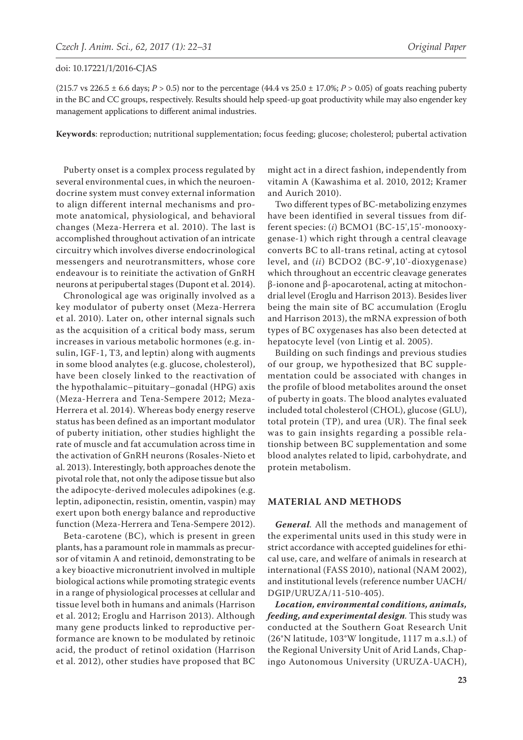(215.7 vs 226.5  $\pm$  6.6 days; *P* > 0.5) nor to the percentage (44.4 vs 25.0  $\pm$  17.0%; *P* > 0.05) of goats reaching puberty in the BC and CC groups, respectively. Results should help speed-up goat productivity while may also engender key management applications to different animal industries.

**Keywords**: reproduction; nutritional supplementation; focus feeding; glucose; cholesterol; pubertal activation

Puberty onset is a complex process regulated by several environmental cues, in which the neuroendocrine system must convey external information to align different internal mechanisms and promote anatomical, physiological, and behavioral changes (Meza-Herrera et al. 2010). The last is accomplished throughout activation of an intricate circuitry which involves diverse endocrinological messengers and neurotransmitters, whose core endeavour is to reinitiate the activation of GnRH neurons at peripubertal stages (Dupont et al. 2014).

Chronological age was originally involved as a key modulator of puberty onset (Meza-Herrera et al. 2010). Later on, other internal signals such as the acquisition of a critical body mass, serum increases in various metabolic hormones (e.g. insulin, IGF-1, T3, and leptin) along with augments in some blood analytes (e.g. glucose, cholesterol), have been closely linked to the reactivation of the hypothalamic–pituitary–gonadal (HPG) axis (Meza-Herrera and Tena-Sempere 2012; Meza-Herrera et al. 2014). Whereas body energy reserve status has been defined as an important modulator of puberty initiation, other studies highlight the rate of muscle and fat accumulation across time in the activation of GnRH neurons (Rosales-Nieto et al. 2013). Interestingly, both approaches denote the pivotal role that, not only the adipose tissue but also the adipocyte-derived molecules adipokines (e.g. leptin, adiponectin, resistin, omentin, vaspin) may exert upon both energy balance and reproductive function (Meza-Herrera and Tena-Sempere 2012).

Beta-carotene (BC), which is present in green plants, has a paramount role in mammals as precursor of vitamin A and retinoid, demonstrating to be a key bioactive micronutrient involved in multiple biological actions while promoting strategic events in a range of physiological processes at cellular and tissue level both in humans and animals (Harrison et al. 2012; Eroglu and Harrison 2013). Although many gene products linked to reproductive performance are known to be modulated by retinoic acid, the product of retinol oxidation (Harrison et al. 2012), other studies have proposed that BC

might act in a direct fashion, independently from vitamin A (Kawashima et al. 2010, 2012; Kramer and Aurich 2010).

Two different types of BC-metabolizing enzymes have been identified in several tissues from different species: (*i*) BCMO1 (BC-15',15'-monooxygenase-1) which right through a central cleavage converts BC to all-trans retinal, acting at cytosol level, and (*ii*) BCDO2 (BC-9',10'-dioxygenase) which throughout an eccentric cleavage generates β-ionone and β-apocarotenal, acting at mitochondrial level (Eroglu and Harrison 2013). Besides liver being the main site of BC accumulation (Eroglu and Harrison 2013), the mRNA expression of both types of BC oxygenases has also been detected at hepatocyte level (von Lintig et al. 2005).

Building on such findings and previous studies of our group, we hypothesized that BC supplementation could be associated with changes in the profile of blood metabolites around the onset of puberty in goats. The blood analytes evaluated included total cholesterol (CHOL), glucose (GLU), total protein (TP), and urea (UR). The final seek was to gain insights regarding a possible relationship between BC supplementation and some blood analytes related to lipid, carbohydrate, and protein metabolism.

## **MATERIAL AND METHODS**

*General.* All the methods and management of the experimental units used in this study were in strict accordance with accepted guidelines for ethical use, care, and welfare of animals in research at international (FASS 2010), national (NAM 2002), and institutional levels (reference number UACH/ DGIP/URUZA/11-510-405).

*Location, environmental conditions, animals, feeding, and experimental design.* This study was conducted at the Southern Goat Research Unit (26°N latitude, 103°W longitude, 1117 m a.s.l.) of the Regional University Unit of Arid Lands, Chapingo Autonomous University (URUZA-UACH),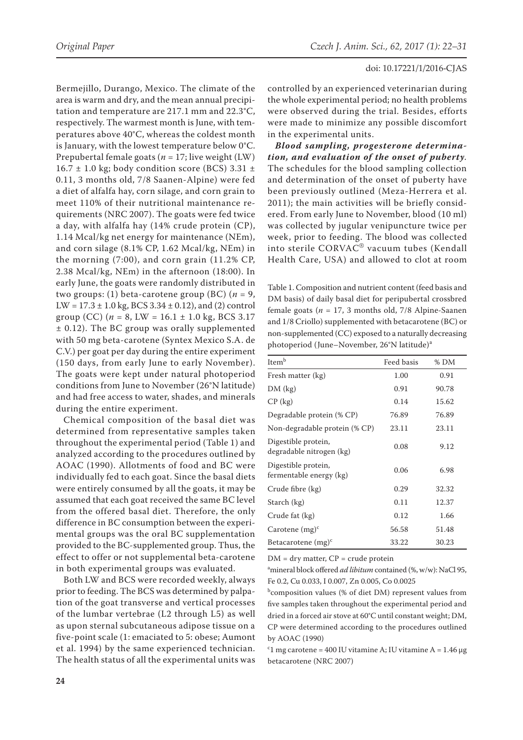Bermejillo, Durango, Mexico. The climate of the area is warm and dry, and the mean annual precipitation and temperature are 217.1 mm and 22.3°C, respectively. The warmest month is June, with temperatures above 40°C, whereas the coldest month is January, with the lowest temperature below 0°C. Prepubertal female goats ( $n = 17$ ; live weight (LW)  $16.7 \pm 1.0$  kg; body condition score (BCS) 3.31  $\pm$ 0.11, 3 months old, 7/8 Saanen-Alpine) were fed a diet of alfalfa hay, corn silage, and corn grain to meet 110% of their nutritional maintenance requirements (NRC 2007). The goats were fed twice a day, with alfalfa hay (14% crude protein (CP), 1.14 Mcal/kg net energy for maintenance (NEm), and corn silage (8.1% CP, 1.62 Mcal/kg, NEm) in the morning (7:00), and corn grain (11.2% CP, 2.38 Mcal/kg, NEm) in the afternoon (18:00). In early June, the goats were randomly distributed in two groups: (1) beta-carotene group (BC)  $(n = 9,$  $LW = 17.3 \pm 1.0$  kg, BCS  $3.34 \pm 0.12$ ), and (2) control group (CC) ( $n = 8$ , LW = 16.1  $\pm$  1.0 kg, BCS 3.17 ± 0.12). The BC group was orally supplemented with 50 mg beta-carotene (Syntex Mexico S.A. de C.V.) per goat per day during the entire experiment (150 days, from early June to early November). The goats were kept under natural photoperiod conditions from June to November (26°N latitude) and had free access to water, shades, and minerals during the entire experiment.

Chemical composition of the basal diet was determined from representative samples taken throughout the experimental period (Table 1) and analyzed according to the procedures outlined by AOAC (1990). Allotments of food and BC were individually fed to each goat. Since the basal diets were entirely consumed by all the goats, it may be assumed that each goat received the same BC level from the offered basal diet. Therefore, the only difference in BC consumption between the experimental groups was the oral BC supplementation provided to the BC-supplemented group. Thus, the effect to offer or not supplemental beta-carotene in both experimental groups was evaluated.

Both LW and BCS were recorded weekly, always prior to feeding. The BCS was determined by palpation of the goat transverse and vertical processes of the lumbar vertebrae (L2 through L5) as well as upon sternal subcutaneous adipose tissue on a five-point scale (1: emaciated to 5: obese; Aumont et al. 1994) by the same experienced technician. The health status of all the experimental units was

controlled by an experienced veterinarian during the whole experimental period; no health problems were observed during the trial. Besides, efforts were made to minimize any possible discomfort in the experimental units.

*Blood sampling, progesterone determination, and evaluation of the onset of puberty.* The schedules for the blood sampling collection and determination of the onset of puberty have been previously outlined (Meza-Herrera et al. 2011); the main activities will be briefly considered. From early June to November, blood (10 ml) was collected by jugular venipuncture twice per week, prior to feeding. The blood was collected into sterile CORVAC® vacuum tubes (Kendall Health Care, USA) and allowed to clot at room

Table 1. Composition and nutrient content (feed basis and DM basis) of daily basal diet for peripubertal crossbred female goats (*n* = 17, 3 months old, 7/8 Alpine-Saanen and 1/8 Criollo) supplemented with betacarotene (BC) or non-supplemented (CC) exposed to a naturally decreasing photoperiod (June–November, 26°N latitude)<sup>a</sup>

| Item <sup>b</sup>                               | Feed basis | % DM  |
|-------------------------------------------------|------------|-------|
| Fresh matter (kg)                               | 1.00       | 0.91  |
| DM (kg)                                         | 0.91       | 90.78 |
| $CP$ (kg)                                       | 0.14       | 15.62 |
| Degradable protein (% CP)                       | 76.89      | 76.89 |
| Non-degradable protein (% CP)                   | 23.11      | 23.11 |
| Digestible protein,<br>degradable nitrogen (kg) | 0.08       | 9.12  |
| Digestible protein,<br>fermentable energy (kg)  | 0.06       | 6.98  |
| Crude fibre (kg)                                | 0.29       | 32.32 |
| Starch (kg)                                     | 0.11       | 12.37 |
| Crude fat (kg)                                  | 0.12       | 1.66  |
| Carotene $(mg)^c$                               | 56.58      | 51.48 |
| Betacarotene $(mg)^c$                           | 33.22      | 30.23 |

 $DM = dry$  matter,  $CP = crude$  protein

a mineral block offered *ad libitum* contained (%, w/w): NaCl 95, Fe 0.2, Cu 0.033, I 0.007, Zn 0.005, Co 0.0025

b composition values (% of diet DM) represent values from five samples taken throughout the experimental period and dried in a forced air stove at 60°C until constant weight; DM, CP were determined according to the procedures outlined by AOAC (1990)

<sup>c</sup>1 mg carotene = 400 IU vitamine A; IU vitamine A = 1.46  $\mu$ g betacarotene (NRC 2007)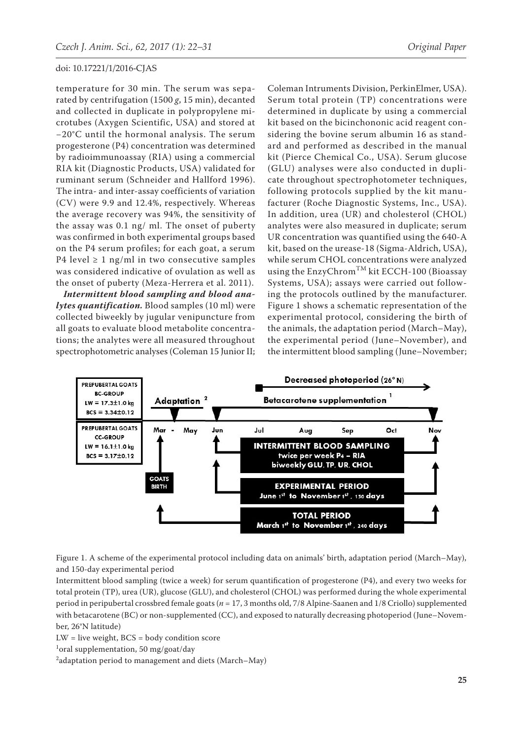temperature for 30 min. The serum was separated by centrifugation (1500 *g*, 15 min), decanted and collected in duplicate in polypropylene microtubes (Axygen Scientific, USA) and stored at −20°C until the hormonal analysis. The serum progesterone (P4) concentration was determined by radioimmunoassay (RIA) using a commercial RIA kit (Diagnostic Products, USA) validated for ruminant serum (Schneider and Hallford 1996). The intra- and inter-assay coefficients of variation (CV) were 9.9 and 12.4%, respectively. Whereas the average recovery was 94%, the sensitivity of the assay was 0.1 ng/ ml. The onset of puberty was confirmed in both experimental groups based on the P4 serum profiles; for each goat, a serum P4 level  $\geq 1$  ng/ml in two consecutive samples was considered indicative of ovulation as well as the onset of puberty (Meza-Herrera et al. 2011).

*Intermittent blood sampling and blood analytes quantification.* Blood samples (10 ml) were collected biweekly by jugular venipuncture from all goats to evaluate blood metabolite concentrations; the analytes were all measured throughout spectrophotometric analyses (Coleman 15 Junior II;

Coleman Intruments Division, PerkinElmer, USA). Serum total protein (TP) concentrations were determined in duplicate by using a commercial kit based on the bicinchononic acid reagent considering the bovine serum albumin 16 as standard and performed as described in the manual kit (Pierce Chemical Co., USA). Serum glucose (GLU) analyses were also conducted in duplicate throughout spectrophotometer techniques, following protocols supplied by the kit manufacturer (Roche Diagnostic Systems, Inc., USA). In addition, urea (UR) and cholesterol (CHOL) analytes were also measured in duplicate; serum UR concentration was quantified using the 640-A kit, based on the urease-18 (Sigma-Aldrich, USA), while serum CHOL concentrations were analyzed using the  $EnzyChrom<sup>TM</sup>$  kit ECCH-100 (Bioassay Systems, USA); assays were carried out following the protocols outlined by the manufacturer. Figure 1 shows a schematic representation of the experimental protocol, considering the birth of the animals, the adaptation period (March–May), the experimental period (June–November), and the intermittent blood sampling (June–November;



Figure 1. A scheme of the experimental protocol including data on animals' birth, adaptation period (March–May), and 150-day experimental period

Intermittent blood sampling (twice a week) for serum quantification of progesterone (P4), and every two weeks for total protein (TP), urea (UR), glucose (GLU), and cholesterol (CHOL) was performed during the whole experimental period in peripubertal crossbred female goats (*n* = 17, 3 months old, 7/8 Alpine-Saanen and 1/8 Criollo) supplemented with betacarotene (BC) or non-supplemented (CC), and exposed to naturally decreasing photoperiod (June–November, 26°N latitude)

LW = live weight, BCS = body condition score

1 oral supplementation, 50 mg/goat/day

 $^2$ adaptation period to management and diets (March–May)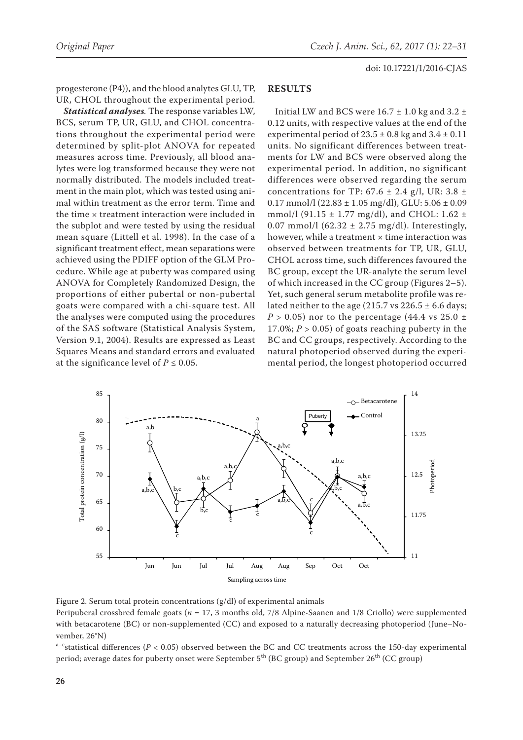progesterone (P4)), and the blood analytes GLU, TP, UR, CHOL throughout the experimental period.

*Statistical analyses.* The response variables LW, BCS, serum TP, UR, GLU, and CHOL concentrations throughout the experimental period were determined by split-plot ANOVA for repeated measures across time. Previously, all blood analytes were log transformed because they were not normally distributed. The models included treatment in the main plot, which was tested using animal within treatment as the error term. Time and the time × treatment interaction were included in the subplot and were tested by using the residual mean square (Littell et al. 1998). In the case of a significant treatment effect, mean separations were achieved using the PDIFF option of the GLM Procedure. While age at puberty was compared using ANOVA for Completely Randomized Design, the proportions of either pubertal or non-pubertal goats were compared with a chi-square test. All the analyses were computed using the procedures of the SAS software (Statistical Analysis System, Version 9.1, 2004). Results are expressed as Least Squares Means and standard errors and evaluated at the significance level of  $P \leq 0.05$ .

### **RESULTS**

Initial LW and BCS were  $16.7 \pm 1.0$  kg and  $3.2 \pm$ 0.12 units, with respective values at the end of the experimental period of  $23.5 \pm 0.8$  kg and  $3.4 \pm 0.11$ units. No significant differences between treatments for LW and BCS were observed along the experimental period. In addition, no significant differences were observed regarding the serum concentrations for TP:  $67.6 \pm 2.4$  g/l, UR:  $3.8 \pm$  $0.17$  mmol/l (22.83  $\pm$  1.05 mg/dl), GLU: 5.06  $\pm$  0.09 mmol/l (91.15  $\pm$  1.77 mg/dl), and CHOL: 1.62  $\pm$ 0.07 mmol/l (62.32  $\pm$  2.75 mg/dl). Interestingly, however, while a treatment  $\times$  time interaction was observed between treatments for TP, UR, GLU, CHOL across time, such differences favoured the BC group, except the UR-analyte the serum level of which increased in the CC group (Figures 2–5). Yet, such general serum metabolite profile was related neither to the age (215.7 vs  $226.5 \pm 6.6$  days;  $P > 0.05$ ) nor to the percentage (44.4 vs 25.0  $\pm$ 17.0%;  $P > 0.05$ ) of goats reaching puberty in the BC and CC groups, respectively. According to the natural photoperiod observed during the experimental period, the longest photoperiod occurred



Figure 2. Serum total protein concentrations (g/dl) of experimental animals Peripuberal crossbred female goats (*n* = 17, 3 months old, 7/8 Alpine-Saanen and 1/8 Criollo) were supplemented with betacarotene (BC) or non-supplemented (CC) and exposed to a naturally decreasing photoperiod (June–November, 26°N)

a<sup>-c</sup>statistical differences ( $P < 0.05$ ) observed between the BC and CC treatments across the 150-day experimental period; average dates for puberty onset were September 5<sup>th</sup> (BC group) and September 26<sup>th</sup> (CC group)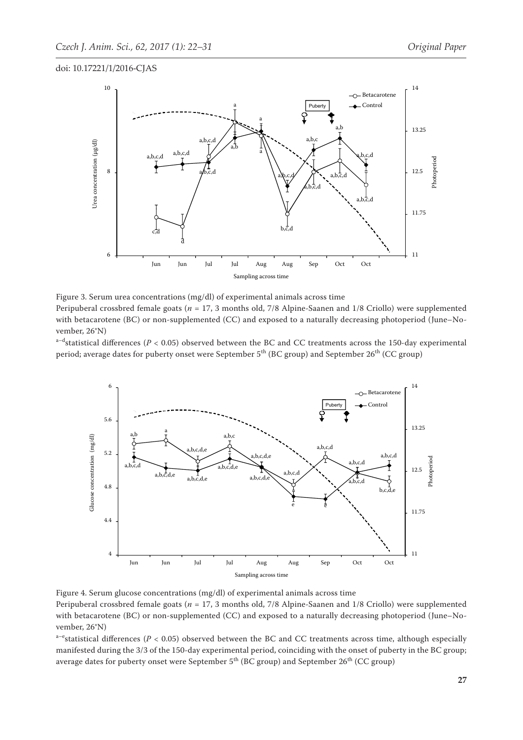

Figure 3. Serum urea concentrations (mg/dl) of experimental animals across time Peripuberal crossbred female goats (*n* = 17, 3 months old, 7/8 Alpine-Saanen and 1/8 Criollo) were supplemented with betacarotene (BC) or non-supplemented (CC) and exposed to a naturally decreasing photoperiod (June–November, 26°N)

 $a-d$ statistical differences ( $P < 0.05$ ) observed between the BC and CC treatments across the 150-day experimental period; average dates for puberty onset were September 5<sup>th</sup> (BC group) and September 26<sup>th</sup> (CC group)



Peripuberal crossbred female goats (*n* = 17, 3 months old, 7/8 Alpine-Saanen and 1/8 Criollo) were supplemented with betacarotene (BC) or non-supplemented (CC) and exposed to a naturally decreasing photoperiod (June–November, 26°N)

a<sup>-e</sup>statistical differences ( $P < 0.05$ ) observed between the BC and CC treatments across time, although especially manifested during the 3/3 of the 150-day experimental period, coinciding with the onset of puberty in the BC group; average dates for puberty onset were September  $5<sup>th</sup>$  (BC group) and September  $26<sup>th</sup>$  (CC group)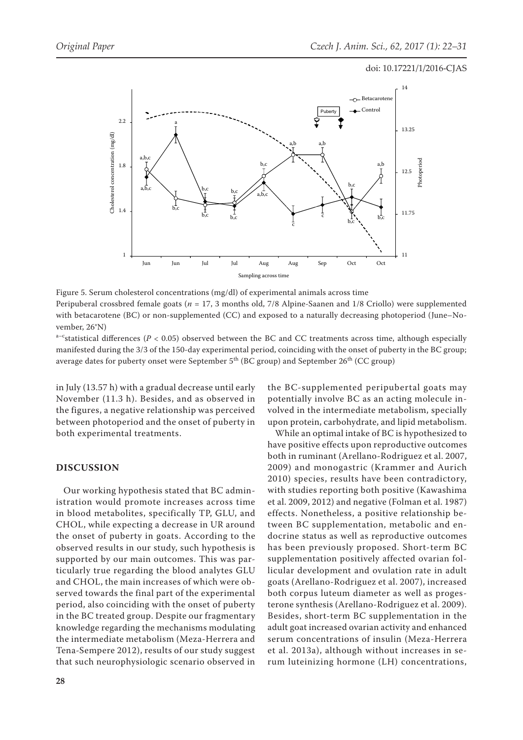

Figure 5. Serum cholesterol concentrations (mg/dl) of experimental animals across time Peripuberal crossbred female goats (*n* = 17, 3 months old, 7/8 Alpine-Saanen and 1/8 Criollo) were supplemented with betacarotene (BC) or non-supplemented (CC) and exposed to a naturally decreasing photoperiod (June–November, 26°N)

a<sup>-c</sup>statistical differences ( $P < 0.05$ ) observed between the BC and CC treatments across time, although especially manifested during the 3/3 of the 150-day experimental period, coinciding with the onset of puberty in the BC group; average dates for puberty onset were September  $5<sup>th</sup>$  (BC group) and September  $26<sup>th</sup>$  (CC group)

in July (13.57 h) with a gradual decrease until early November (11.3 h). Besides, and as observed in the figures, a negative relationship was perceived between photoperiod and the onset of puberty in both experimental treatments.

# **DISCUSSION**

Our working hypothesis stated that BC administration would promote increases across time in blood metabolites, specifically TP, GLU, and CHOL, while expecting a decrease in UR around the onset of puberty in goats. According to the observed results in our study, such hypothesis is supported by our main outcomes. This was particularly true regarding the blood analytes GLU and CHOL, the main increases of which were observed towards the final part of the experimental period, also coinciding with the onset of puberty in the BC treated group. Despite our fragmentary knowledge regarding the mechanisms modulating the intermediate metabolism (Meza-Herrera and Tena-Sempere 2012), results of our study suggest that such neurophysiologic scenario observed in the BC-supplemented peripubertal goats may potentially involve BC as an acting molecule involved in the intermediate metabolism, specially upon protein, carbohydrate, and lipid metabolism.

While an optimal intake of BC is hypothesized to have positive effects upon reproductive outcomes both in ruminant (Arellano-Rodriguez et al. 2007, 2009) and monogastric (Krammer and Aurich 2010) species, results have been contradictory, with studies reporting both positive (Kawashima et al. 2009, 2012) and negative (Folman et al. 1987) effects. Nonetheless, a positive relationship between BC supplementation, metabolic and endocrine status as well as reproductive outcomes has been previously proposed. Short-term BC supplementation positively affected ovarian follicular development and ovulation rate in adult goats (Arellano-Rodriguez et al. 2007), increased both corpus luteum diameter as well as progesterone synthesis (Arellano-Rodriguez et al. 2009). Besides, short-term BC supplementation in the adult goat increased ovarian activity and enhanced serum concentrations of insulin (Meza-Herrera et al. 2013a), although without increases in serum luteinizing hormone (LH) concentrations,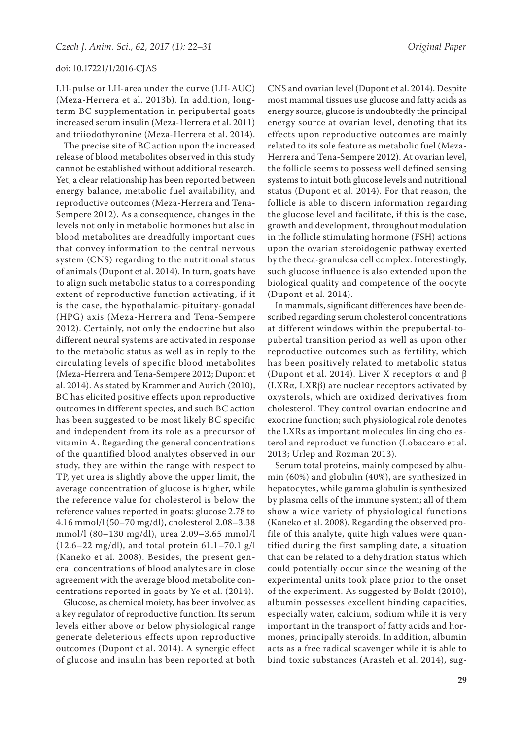LH-pulse or LH-area under the curve (LH-AUC) (Meza-Herrera et al. 2013b). In addition, longterm BC supplementation in peripubertal goats increased serum insulin (Meza-Herrera et al. 2011) and triiodothyronine (Meza-Herrera et al. 2014).

The precise site of BC action upon the increased release of blood metabolites observed in this study cannot be established without additional research. Yet, a clear relationship has been reported between energy balance, metabolic fuel availability, and reproductive outcomes (Meza-Herrera and Tena-Sempere 2012). As a consequence, changes in the levels not only in metabolic hormones but also in blood metabolites are dreadfully important cues that convey information to the central nervous system (CNS) regarding to the nutritional status of animals (Dupont et al. 2014). In turn, goats have to align such metabolic status to a corresponding extent of reproductive function activating, if it is the case, the hypothalamic-pituitary-gonadal (HPG) axis (Meza-Herrera and Tena-Sempere 2012). Certainly, not only the endocrine but also different neural systems are activated in response to the metabolic status as well as in reply to the circulating levels of specific blood metabolites (Meza-Herrera and Tena-Sempere 2012; Dupont et al. 2014). As stated by Krammer and Aurich (2010), BC has elicited positive effects upon reproductive outcomes in different species, and such BC action has been suggested to be most likely BC specific and independent from its role as a precursor of vitamin A. Regarding the general concentrations of the quantified blood analytes observed in our study, they are within the range with respect to TP, yet urea is slightly above the upper limit, the average concentration of glucose is higher, while the reference value for cholesterol is below the reference values reported in goats: glucose 2.78 to 4.16 mmol/l (50–70 mg/dl), cholesterol 2.08–3.38 mmol/l (80–130 mg/dl), urea 2.09–3.65 mmol/l (12.6–22 mg/dl), and total protein 61.1–70.1 g/l (Kaneko et al. 2008). Besides, the present general concentrations of blood analytes are in close agreement with the average blood metabolite concentrations reported in goats by Ye et al. (2014).

Glucose, as chemical moiety, has been involved as a key regulator of reproductive function. Its serum levels either above or below physiological range generate deleterious effects upon reproductive outcomes (Dupont et al. 2014). A synergic effect of glucose and insulin has been reported at both

CNS and ovarian level (Dupont et al. 2014). Despite most mammal tissues use glucose and fatty acids as energy source, glucose is undoubtedly the principal energy source at ovarian level, denoting that its effects upon reproductive outcomes are mainly related to its sole feature as metabolic fuel (Meza-Herrera and Tena-Sempere 2012). At ovarian level, the follicle seems to possess well defined sensing systems to intuit both glucose levels and nutritional status (Dupont et al. 2014). For that reason, the follicle is able to discern information regarding the glucose level and facilitate, if this is the case, growth and development, throughout modulation in the follicle stimulating hormone (FSH) actions upon the ovarian steroidogenic pathway exerted by the theca-granulosa cell complex. Interestingly, such glucose influence is also extended upon the biological quality and competence of the oocyte (Dupont et al. 2014).

In mammals, significant differences have been described regarding serum cholesterol concentrations at different windows within the prepubertal-topubertal transition period as well as upon other reproductive outcomes such as fertility, which has been positively related to metabolic status (Dupont et al. 2014). Liver X receptors α and β (LXRα, LXRβ) are nuclear receptors activated by oxysterols, which are oxidized derivatives from cholesterol. They control ovarian endocrine and exocrine function; such physiological role denotes the LXRs as important molecules linking cholesterol and reproductive function (Lobaccaro et al. 2013; Urlep and Rozman 2013).

Serum total proteins, mainly composed by albumin (60%) and globulin (40%), are synthesized in hepatocytes, while gamma globulin is synthesized by plasma cells of the immune system; all of them show a wide variety of physiological functions (Kaneko et al. 2008). Regarding the observed profile of this analyte, quite high values were quantified during the first sampling date, a situation that can be related to a dehydration status which could potentially occur since the weaning of the experimental units took place prior to the onset of the experiment. As suggested by Boldt (2010), albumin possesses excellent binding capacities, especially water, calcium, sodium while it is very important in the transport of fatty acids and hormones, principally steroids. In addition, albumin acts as a free radical scavenger while it is able to bind toxic substances (Arasteh et al. 2014), sug-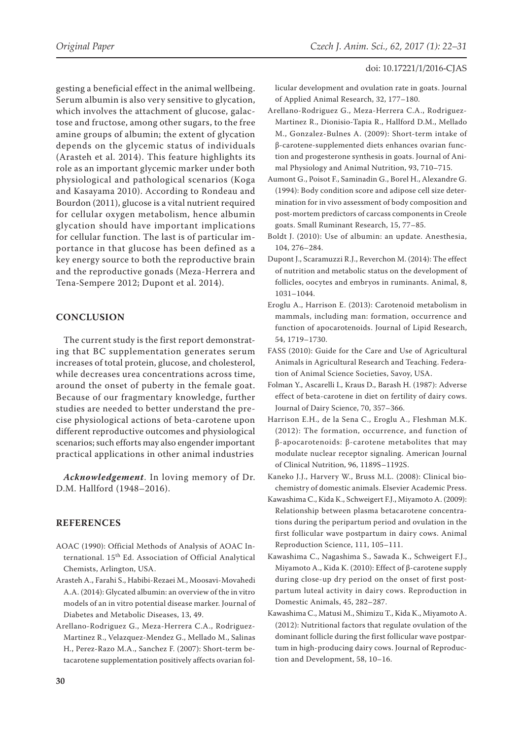gesting a beneficial effect in the animal wellbeing. Serum albumin is also very sensitive to glycation, which involves the attachment of glucose, galactose and fructose, among other sugars, to the free amine groups of albumin; the extent of glycation depends on the glycemic status of individuals (Arasteh et al. 2014). This feature highlights its role as an important glycemic marker under both physiological and pathological scenarios (Koga and Kasayama 2010). According to Rondeau and Bourdon (2011), glucose is a vital nutrient required for cellular oxygen metabolism, hence albumin glycation should have important implications for cellular function. The last is of particular importance in that glucose has been defined as a key energy source to both the reproductive brain and the reproductive gonads (Meza-Herrera and Tena-Sempere 2012; Dupont et al. 2014).

# **CONCLUSION**

The current study is the first report demonstrating that BC supplementation generates serum increases of total protein, glucose, and cholesterol, while decreases urea concentrations across time, around the onset of puberty in the female goat. Because of our fragmentary knowledge, further studies are needed to better understand the precise physiological actions of beta-carotene upon different reproductive outcomes and physiological scenarios; such efforts may also engender important practical applications in other animal industries

*Acknowledgement*. In loving memory of Dr. D.M. Hallford (1948–2016).

## **REFERENCES**

- AOAC (1990): Official Methods of Analysis of AOAC International. 15<sup>th</sup> Ed. Association of Official Analytical Chemists, Arlington, USA.
- Arasteh A., Farahi S., Habibi-Rezaei M., Moosavi-Movahedi A.A. (2014): Glycated albumin: an overview of the in vitro models of an in vitro potential disease marker. Journal of Diabetes and Metabolic Diseases, 13, 49.
- Arellano-Rodriguez G., Meza-Herrera C.A., Rodriguez-Martinez R., Velazquez-Mendez G., Mellado M., Salinas H., Perez-Razo M.A., Sanchez F. (2007): Short-term betacarotene supplementation positively affects ovarian fol-

licular development and ovulation rate in goats. Journal of Applied Animal Research, 32, 177–180.

- Arellano-Rodriguez G., Meza-Herrera C.A., Rodriguez-Martinez R., Dionisio-Tapia R., Hallford D.M., Mellado M., Gonzalez-Bulnes A. (2009): Short-term intake of β-carotene-supplemented diets enhances ovarian function and progesterone synthesis in goats. Journal of Animal Physiology and Animal Nutrition, 93, 710–715.
- Aumont G., Poisot F., Saminadin G., Borel H., Alexandre G. (1994): Body condition score and adipose cell size determination for in vivo assessment of body composition and post-mortem predictors of carcass components in Creole goats. Small Ruminant Research, 15, 77–85.
- [Boldt J.](http://www.ncbi.nlm.nih.gov/pubmed?term=Boldt%20J%5BAuthor%5D&cauthor=true&cauthor_uid=20100698) (2010): Use of albumin: an update. Anesthesia, 104, 276–284.
- [Dupont J](http://www.ncbi.nlm.nih.gov/pubmed?term=Dupont%20J%5BAuthor%5D&cauthor=true&cauthor_uid=24774511)., [Scaramuzzi R.J](http://www.ncbi.nlm.nih.gov/pubmed?term=Scaramuzzi%20RJ%5BAuthor%5D&cauthor=true&cauthor_uid=24774511)., [Reverchon M.](http://www.ncbi.nlm.nih.gov/pubmed?term=Reverchon%20M%5BAuthor%5D&cauthor=true&cauthor_uid=24774511) (2014): The effect of nutrition and metabolic status on the development of follicles, oocytes and embryos in ruminants. Animal, 8, 1031–1044.
- Eroglu A., Harrison E. (2013): Carotenoid metabolism in mammals, including man: formation, occurrence and function of apocarotenoids. Journal of Lipid Research, 54, 1719–1730.
- FASS (2010): Guide for the Care and Use of Agricultural Animals in Agricultural Research and Teaching. Federation of Animal Science Societies, Savoy, USA.
- [Folman Y.](http://www.ncbi.nlm.nih.gov/pubmed?term=Folman%20Y%5BAuthor%5D&cauthor=true&cauthor_uid=3571640), [Ascarelli I](http://www.ncbi.nlm.nih.gov/pubmed?term=Ascarelli%20I%5BAuthor%5D&cauthor=true&cauthor_uid=3571640)., [Kraus D.](http://www.ncbi.nlm.nih.gov/pubmed?term=Kraus%20D%5BAuthor%5D&cauthor=true&cauthor_uid=3571640), [Barash H.](http://www.ncbi.nlm.nih.gov/pubmed?term=Barash%20H%5BAuthor%5D&cauthor=true&cauthor_uid=3571640) (1987): Adverse effect of beta-carotene in diet on fertility of dairy cows. [Journal of Dairy Scie](http://www.ncbi.nlm.nih.gov/pubmed/3571640)nce, 70, 357–366.
- [Harrison E.H](http://www.ncbi.nlm.nih.gov/pubmed?term=Harrison%20EH%5BAuthor%5D&cauthor=true&cauthor_uid=23053561)., [de la Sena C.](http://www.ncbi.nlm.nih.gov/pubmed?term=dela%20Sena%20C%5BAuthor%5D&cauthor=true&cauthor_uid=23053561), [Eroglu A](http://www.ncbi.nlm.nih.gov/pubmed?term=Eroglu%20A%5BAuthor%5D&cauthor=true&cauthor_uid=23053561)., [Fleshman M.K](http://www.ncbi.nlm.nih.gov/pubmed?term=Fleshman%20MK%5BAuthor%5D&cauthor=true&cauthor_uid=23053561). (2012): The formation, occurrence, and function of β-apocarotenoids: β-carotene metabolites that may modulate nuclear receptor signaling. [American Journal](http://www.ncbi.nlm.nih.gov/pubmed/?term=Earl+H+Harrison%2C+Carlo+dela+Sena%2C+Abdulkerim+Eroglu%2C+and+Matthew+K+Fleshman) [of Clinical Nutri](http://www.ncbi.nlm.nih.gov/pubmed/?term=Earl+H+Harrison%2C+Carlo+dela+Sena%2C+Abdulkerim+Eroglu%2C+and+Matthew+K+Fleshman)tion, 96, 1189S–1192S.
- Kaneko J.J., Harvery W., Bruss M.L. (2008): Clinical biochemistry of domestic animals. Elsevier Academic Press.
- Kawashima C., Kida K., Schweigert F.J., Miyamoto A. (2009): Relationship between plasma betacarotene concentrations during the peripartum period and ovulation in the first follicular wave postpartum in dairy cows. Animal Reproduction Science, 111, 105–111.
- Kawashima C., Nagashima S., Sawada K., Schweigert F.J., Miyamoto A., Kida K. (2010): Effect of β-carotene supply during close-up dry period on the onset of first postpartum luteal activity in dairy cows. Reproduction in Domestic Animals, 45, 282–287.
- Kawashima C., Matusi M., Shimizu T., Kida K., Miyamoto A. (2012): Nutritional factors that regulate ovulation of the dominant follicle during the first follicular wave postpartum in high-producing dairy cows. Journal of Reproduction and Development, 58, 10–16.